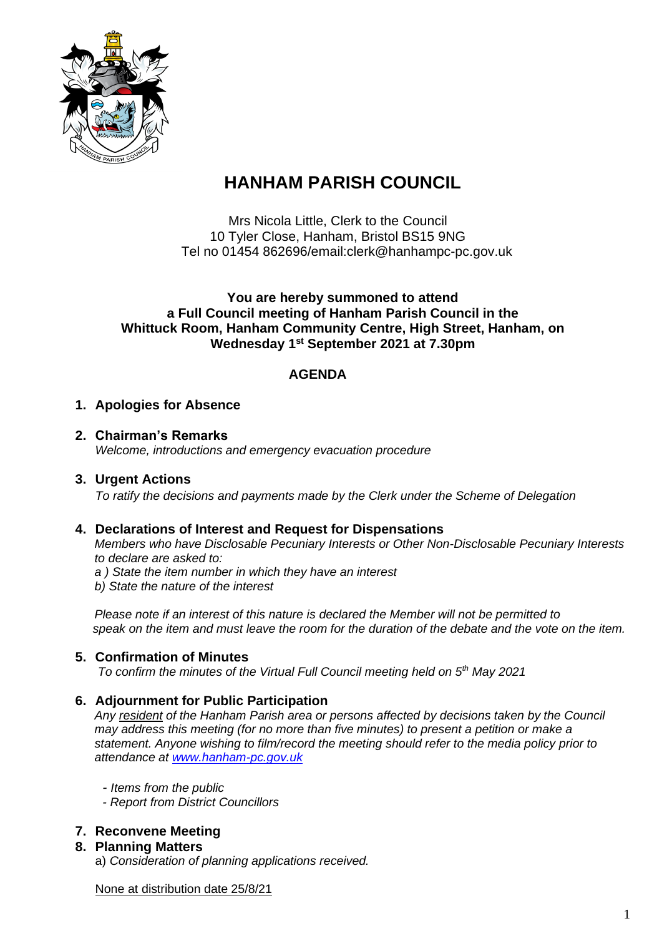

# **HANHAM PARISH COUNCIL**

Mrs Nicola Little, Clerk to the Council 10 Tyler Close, Hanham, Bristol BS15 9NG Tel no 01454 862696/email:clerk@hanhampc-pc.gov.uk

### **You are hereby summoned to attend a Full Council meeting of Hanham Parish Council in the Whittuck Room, Hanham Community Centre, High Street, Hanham, on Wednesday 1 st September 2021 at 7.30pm**

## **AGENDA**

## **1. Apologies for Absence**

**2. Chairman's Remarks** *Welcome, introductions and emergency evacuation procedure*

#### **3. Urgent Actions**

*To ratify the decisions and payments made by the Clerk under the Scheme of Delegation*

#### **4. Declarations of Interest and Request for Dispensations**

*Members who have Disclosable Pecuniary Interests or Other Non-Disclosable Pecuniary Interests to declare are asked to:*

*a ) State the item number in which they have an interest*

*b) State the nature of the interest*

*Please note if an interest of this nature is declared the Member will not be permitted to speak on the item and must leave the room for the duration of the debate and the vote on the item.*

## **5. Confirmation of Minutes**

*To confirm the minutes of the Virtual Full Council meeting held on 5th May 2021*

#### **6. Adjournment for Public Participation**

*Any resident of the Hanham Parish area or persons affected by decisions taken by the Council may address this meeting (for no more than five minutes) to present a petition or make a statement. Anyone wishing to film/record the meeting should refer to the media policy prior to attendance at [www.hanham-pc.gov.uk](http://www.hanham-pc.gov.uk/)*

- *- Items from the public*
- *- Report from District Councillors*

#### **7. Reconvene Meeting**

#### **8. Planning Matters**

a) *Consideration of planning applications received.*

None at distribution date 25/8/21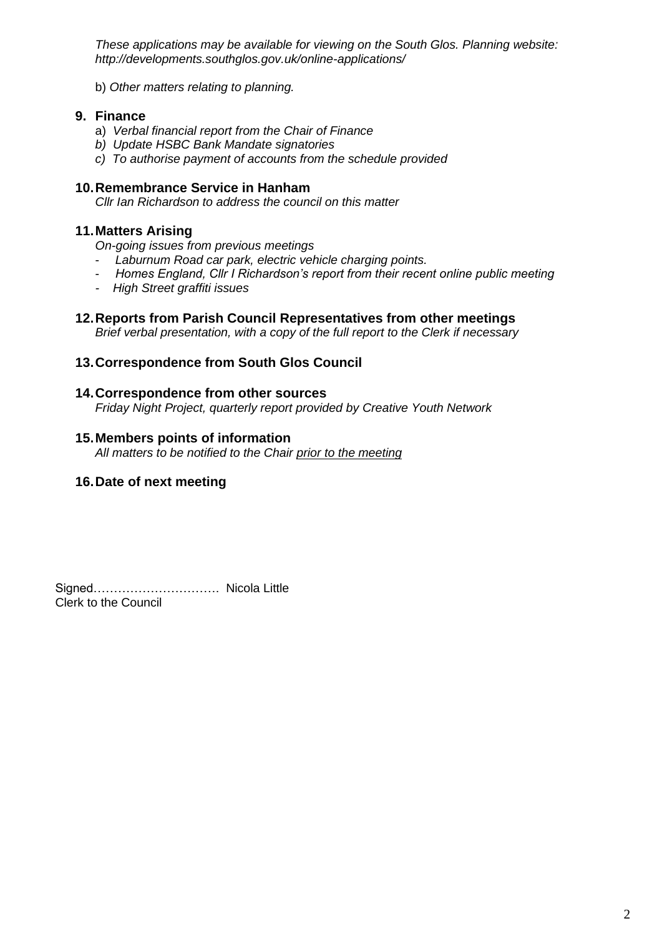*These applications may be available for viewing on the South Glos. Planning website: http://developments.southglos.gov.uk/online-applications/*

b) *Other matters relating to planning.*

#### **9. Finance**

- a) *Verbal financial report from the Chair of Finance*
- *b) Update HSBC Bank Mandate signatories*
- *c) To authorise payment of accounts from the schedule provided*

#### **10.Remembrance Service in Hanham**

*Cllr Ian Richardson to address the council on this matter*

#### **11.Matters Arising**

- *On-going issues from previous meetings*
- *Laburnum Road car park, electric vehicle charging points.*
- *Homes England, Cllr I Richardson's report from their recent online public meeting*
- *High Street graffiti issues*

#### **12.Reports from Parish Council Representatives from other meetings**

*Brief verbal presentation, with a copy of the full report to the Clerk if necessary*

## **13.Correspondence from South Glos Council**

#### **14.Correspondence from other sources**

*Friday Night Project, quarterly report provided by Creative Youth Network*

#### **15.Members points of information**

*All matters to be notified to the Chair prior to the meeting*

#### **16.Date of next meeting**

| Signed Nicola Little        |  |
|-----------------------------|--|
| <b>Clerk to the Council</b> |  |